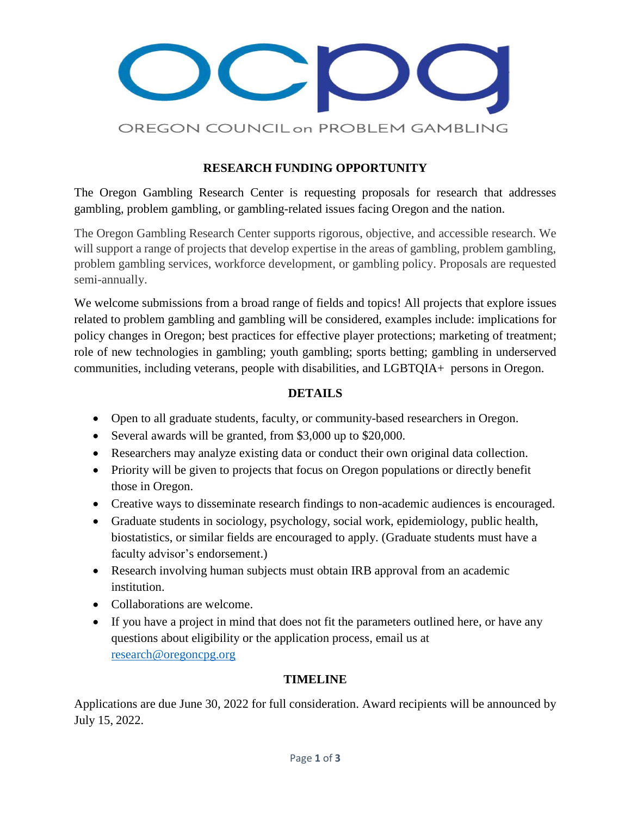

# **RESEARCH FUNDING OPPORTUNITY**

The Oregon Gambling Research Center is requesting proposals for research that addresses gambling, problem gambling, or gambling-related issues facing Oregon and the nation.

The Oregon Gambling Research Center supports rigorous, objective, and accessible research. We will support a range of projects that develop expertise in the areas of gambling, problem gambling, problem gambling services, workforce development, or gambling policy. Proposals are requested semi-annually.

We welcome submissions from a broad range of fields and topics! All projects that explore issues related to problem gambling and gambling will be considered, examples include: implications for policy changes in Oregon; best practices for effective player protections; marketing of treatment; role of new technologies in gambling; youth gambling; sports betting; gambling in underserved communities, including veterans, people with disabilities, and LGBTQIA+ persons in Oregon.

## **DETAILS**

- Open to all graduate students, faculty, or community-based researchers in Oregon.
- Several awards will be granted, from \$3,000 up to \$20,000.
- Researchers may analyze existing data or conduct their own original data collection.
- Priority will be given to projects that focus on Oregon populations or directly benefit those in Oregon.
- Creative ways to disseminate research findings to non-academic audiences is encouraged.
- Graduate students in sociology, psychology, social work, epidemiology, public health, biostatistics, or similar fields are encouraged to apply. (Graduate students must have a faculty advisor's endorsement.)
- Research involving human subjects must obtain IRB approval from an academic institution.
- Collaborations are welcome.
- If you have a project in mind that does not fit the parameters outlined here, or have any questions about eligibility or the application process, email us at [research@oregoncpg.org](mailto:research@oregoncpg.org)

## **TIMELINE**

Applications are due June 30, 2022 for full consideration. Award recipients will be announced by July 15, 2022.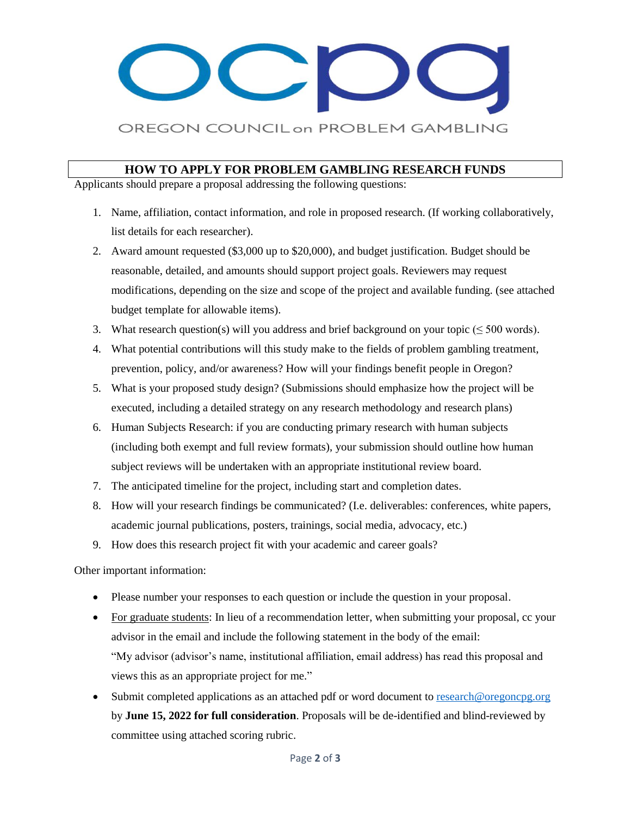# OREGON COUNCIL on PROBLEM GAMBLING

### **HOW TO APPLY FOR PROBLEM GAMBLING RESEARCH FUNDS**

Applicants should prepare a proposal addressing the following questions:

- 1. Name, affiliation, contact information, and role in proposed research. (If working collaboratively, list details for each researcher).
- 2. Award amount requested (\$3,000 up to \$20,000), and budget justification. Budget should be reasonable, detailed, and amounts should support project goals. Reviewers may request modifications, depending on the size and scope of the project and available funding. (see attached budget template for allowable items).
- 3. What research question(s) will you address and brief background on your topic ( $\leq 500$  words).
- 4. What potential contributions will this study make to the fields of problem gambling treatment, prevention, policy, and/or awareness? How will your findings benefit people in Oregon?
- 5. What is your proposed study design? (Submissions should emphasize how the project will be executed, including a detailed strategy on any research methodology and research plans)
- 6. Human Subjects Research: if you are conducting primary research with human subjects (including both exempt and full review formats), your submission should outline how human subject reviews will be undertaken with an appropriate institutional review board.
- 7. The anticipated timeline for the project, including start and completion dates.
- 8. How will your research findings be communicated? (I.e. deliverables: conferences, white papers, academic journal publications, posters, trainings, social media, advocacy, etc.)
- 9. How does this research project fit with your academic and career goals?

Other important information:

- Please number your responses to each question or include the question in your proposal.
- For graduate students: In lieu of a recommendation letter, when submitting your proposal, cc your advisor in the email and include the following statement in the body of the email: "My advisor (advisor's name, institutional affiliation, email address) has read this proposal and views this as an appropriate project for me."
- Submit completed applications as an attached pdf or word document t[o research@oregoncpg.org](mailto:research@oregoncpg.org) by **June 15, 2022 for full consideration**. Proposals will be de-identified and blind-reviewed by committee using attached scoring rubric.